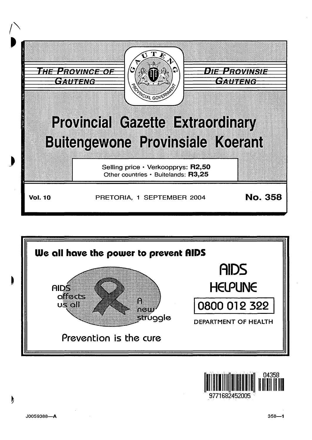



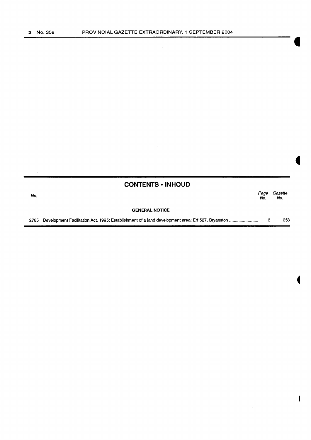$\mathcal{L}_{\mathcal{A}}$ 

|      | <b>CONTENTS • INHOUD</b> |             |                |
|------|--------------------------|-------------|----------------|
| No.  |                          | Page<br>No. | Gazette<br>No. |
|      | <b>GENERAL NOTICE</b>    |             |                |
| 2765 |                          | 3           | 358            |

 $\bar{z}$ 

 $\mathcal{A}$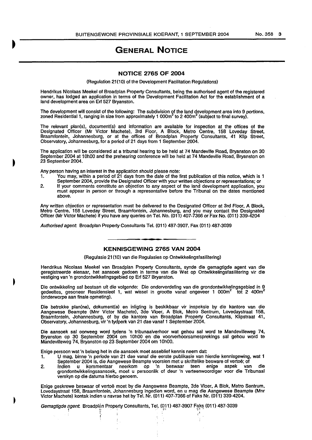## **GENERAL NOTICE**

## **NOTICE 2765 OF 2004**

(Regulation 21(10) of the Development Facilitation Regulations)

Hendrikus Nicolaas Meekel of Broadplan Property Consultants, being the authorised agent of the registered owner, has lodged an application in terms of the Development Facilitation Act for the establishment of a land development area on Erf 527 Bryanston.

The development will consist of the following: The subdivision of the land development area into 9 portions, zoned Residential 1, ranging in size from approximately 1 000 $m^2$  to 2 400 $m^2$  (subject to final survey).

The relevant plan(s), document(s) and information are available for inspection at the offices of the Designated Officer (Mr Victor Machete), 3rd Floor, A Block, Metro Centre, 158 Loveday Street, Braamfontein, Johannesburg, or at the offices of Broadplan Property Consultants, 41 Klip Street, Observatory, Johannesburg, for a period of 21 days from 1 September 2004.

The application will be considered at a tribunal hearing to be held at 74 Mandeville Road, Bryanston on 30 September 2004 at 10h00 and the prehearing conference will be held at 74 Mandeville Road, Bryanston on 23 September 2004.

Any person having an Interest in the application should please note:

- 1. You may, within a period of 21 days from the date of the first publication of this notice, which is 1 September 2004, provide the Designated Officer with your written objections or representations; or
- 2. If your comments constitute an objection to any aspect of the land development application, you must appear in person or through a representative before the Tribunal on the dates mentioned above.

Any written objection or representation must be delivered to the Designated Officer at 3rd Floor, A Block, Metro Centre, 158 Loveday Street, Braamfontein, Johannesburg, and you may contact the Designated Officer (Mr Victor Machete) If you have any queries on Tel. No. (011) 407-7366 or Fax No. (011) 339-4204

Authorised agent Broadplan Property Consultants Tel. (011) 487-3907. Fax (011) 487-3039

## **KENNISGEWING 2765 VAN 2004**

(Regulasie 21 (10) van die Regulasies op Ontwikkelingsfasilitering)

Hendrikus Nicolaas Meekel van Broadplan Property Consultants, synde die gemagtigde agent van die geregistreerde elenaar, het aansoek gedoen in terme van die Wet op Ontwikkelingsfasilitering vir die vestiging van 'n grondontwikkelingsgebied op Erf 527 Bryanston.

Die ontwikkeling sal bestaan uit die volgende: Die onderverdeling van die grondontwikkelingsgebied in 9 gedeeltes, gesoneer Residensieel 1, wat wissel in grootte vanaf ongeveer 1 000m<sup>2</sup> tot 2 400m<sup>2</sup> (onderworpe aan finale opmeting).

Die betrokke plan(ne), dokument(e) en inligting is beskikbaar vir inspeksie by die kantore van die Aangewese Beampte (Mnr Victor Machete), 3de Vloer, A Blok, Metro Sentrum, Lovedaystraat 158, Braamfonteln, Johannesburg, of by die kantore van Broadplan Property Consultants, Klipstraat 41, Observatory, Johannesburg, vir 'n tydperk van 21 dae vanaf 1 September 2004.

Die aansoek sal oorweeg word tydens 'n tribunaalverhoor wat gehou sal word te Mandevilleweg 74, Bryanston op 30 September 2004 om 1 OhOO en die voorverhoorsamespreklngs sal gehou word te Mandevilleweg 74, Bryanston op 23 September 2004 om 10h00.

Enige persoon wat 'n belang het in die aansoek moet asseblief kennis neem dat:

*i* 

- 1. U mag, binne 'n periode van 21 dae vanaf die eerste publikasie van hlerdie kennlsgewing, wat 1 September 2004 is, die Aangewese Beampte voorsien met u skriftelike besware of vertoë; of
- 2. lndien u kommentaar neerkom op 'n beswaar teen enige aspek van die grondontwikkelingsaansoek, moat u persoonlik of deur 'n verteenwoordiger voor die Tribunaal verskyn op die datums hierbo genoem.

Enige geskrewe beswaar of vertoe moet by die Aangewese Beampte, 3de Vloer, A Blok, Metro Sentrum, Lovedaystraat 158, Braamfontein, Johannesburg ingedien word, en u mag die Aangewese Beampte (Mnr Victor Machete) kontak indien u navrae het by Tel. Nr. (011) 407-7366 of Faks Nr. (011) 339-4204.

Gemagtigde agent. Broadplan Property Consultants, Tel. (011) 487-3907 Faks (011) 487-3039 Ip is a set of the set of the set of the set of the set of the set of the set of the set of the set of the set<br>If it is a set of the set of the set of the set of the set of the set of the set of the set of the set of the<br>I